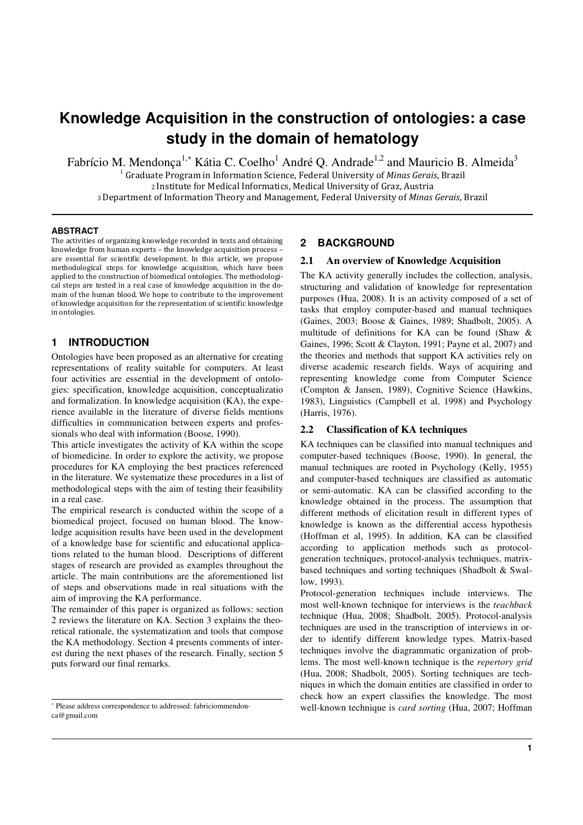# **Knowledge Acquisition in the construction of ontologies: a case study in the domain of hematology**

Fabrício M. Mendonça<sup>1,\*</sup> Kátia C. Coelho<sup>1</sup> André Q. Andrade<sup>1,2</sup> and Mauricio B. Almeida<sup>3</sup> Graduate Program in Information Science, Federal University of Minas Gerais, Brazil Institute for Medical Informatics, Medical University of Graz, Austria Department of Information Theory and Management, Federal University of Minas Gerais, Brazil

#### **ABSTRACT**

The activities of organizing knowledge recorded in texts and obtaining knowledge from human experts – the knowledge acquisition process – are essential for scientific development. In this article, we propose methodological steps for knowledge acquisition, which have been applied to the construction of biomedical ontologies. The methodological steps are tested in a real case of knowledge acquisition in the domain of the human blood. We hope to contribute to the improvement of knowledge acquisition for the representation of scientific knowledge in ontologies.

## **1 INTRODUCTION**

Ontologies have been proposed as an alternative for creating representations of reality suitable for computers. At least four activities are essential in the development of ontologies: specification, knowledge acquisition, conceptualizatio and formalization. In knowledge acquisition (KA), the experience available in the literature of diverse fields mentions difficulties in communication between experts and professionals who deal with information (Boose, 1990).

This article investigates the activity of KA within the scope of biomedicine. In order to explore the activity, we propose procedures for KA employing the best practices referenced in the literature. We systematize these procedures in a list of methodological steps with the aim of testing their feasibility in a real case.

The empirical research is conducted within the scope of a biomedical project, focused on human blood. The knowledge acquisition results have been used in the development of a knowledge base for scientific and educational applications related to the human blood. Descriptions of different stages of research are provided as examples throughout the article. The main contributions are the aforementioned list of steps and observations made in real situations with the aim of improving the KA performance.

The remainder of this paper is organized as follows: section 2 reviews the literature on KA. Section 3 explains the theoretical rationale, the systematization and tools that compose the KA methodology. Section 4 presents comments of interest during the next phases of the research. Finally, section 5 puts forward our final remarks.

#### **2 BACKGROUND**

#### **2.1 An overview of Knowledge Acquisition**

The KA activity generally includes the collection, analysis, structuring and validation of knowledge for representation purposes (Hua, 2008). It is an activity composed of a set of tasks that employ computer-based and manual techniques (Gaines, 2003; Boose & Gaines, 1989; Shadbolt, 2005). A multitude of definitions for KA can be found (Shaw & Gaines, 1996; Scott & Clayton, 1991; Payne et al, 2007) and the theories and methods that support KA activities rely on diverse academic research fields. Ways of acquiring and representing knowledge come from Computer Science (Compton & Jansen, 1989), Cognitive Science (Hawkins, 1983), Linguistics (Campbell et al, 1998) and Psychology (Harris, 1976).

## **2.2 Classification of KA techniques**

KA techniques can be classified into manual techniques and computer-based techniques (Boose, 1990). In general, the manual techniques are rooted in Psychology (Kelly, 1955) and computer-based techniques are classified as automatic or semi-automatic. KA can be classified according to the knowledge obtained in the process. The assumption that different methods of elicitation result in different types of knowledge is known as the differential access hypothesis (Hoffman et al, 1995). In addition, KA can be classified according to application methods such as protocolgeneration techniques, protocol-analysis techniques, matrixbased techniques and sorting techniques (Shadbolt & Swallow, 1993).

Protocol-generation techniques include interviews. The most well-known technique for interviews is the *teachback* technique (Hua, 2008; Shadbolt, 2005). Protocol-analysis techniques are used in the transcription of interviews in order to identify different knowledge types. Matrix-based techniques involve the diagrammatic organization of problems. The most well-known technique is the *repertory grid*  (Hua, 2008; Shadbolt, 2005). Sorting techniques are techniques in which the domain entities are classified in order to check how an expert classifies the knowledge. The most well-known technique is *card sorting* (Hua, 2007; Hoffman

<sup>\*</sup> Please address correspondence to addressed: fabriciommendonca@gmail.com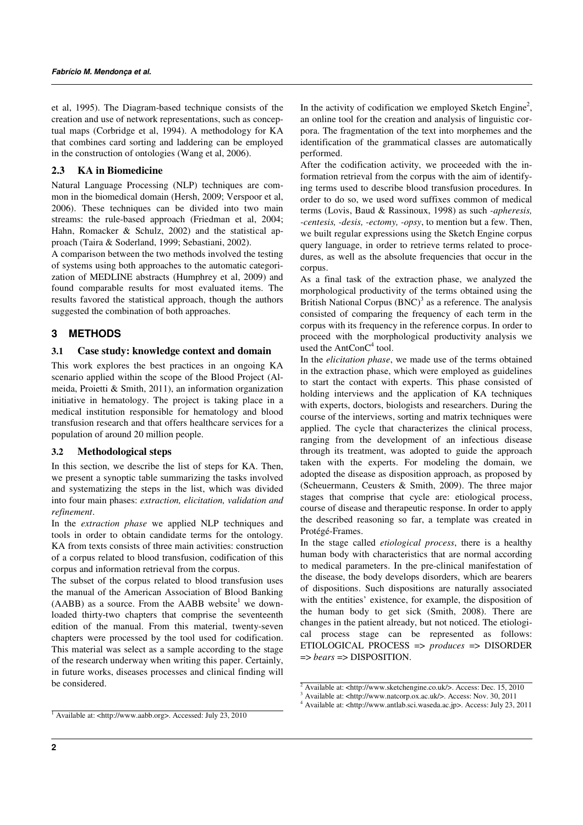et al, 1995). The Diagram-based technique consists of the creation and use of network representations, such as conceptual maps (Corbridge et al, 1994). A methodology for KA that combines card sorting and laddering can be employed in the construction of ontologies (Wang et al, 2006).

## **2.3 KA in Biomedicine**

Natural Language Processing (NLP) techniques are common in the biomedical domain (Hersh, 2009; Verspoor et al, 2006). These techniques can be divided into two main streams: the rule-based approach (Friedman et al, 2004; Hahn, Romacker & Schulz, 2002) and the statistical approach (Taira & Soderland, 1999; Sebastiani, 2002).

A comparison between the two methods involved the testing of systems using both approaches to the automatic categorization of MEDLINE abstracts (Humphrey et al, 2009) and found comparable results for most evaluated items. The results favored the statistical approach, though the authors suggested the combination of both approaches.

## **3 METHODS**

## **3.1 Case study: knowledge context and domain**

This work explores the best practices in an ongoing KA scenario applied within the scope of the Blood Project (Almeida, Proietti & Smith, 2011), an information organization initiative in hematology. The project is taking place in a medical institution responsible for hematology and blood transfusion research and that offers healthcare services for a population of around 20 million people.

#### **3.2 Methodological steps**

In this section, we describe the list of steps for KA. Then, we present a synoptic table summarizing the tasks involved and systematizing the steps in the list, which was divided into four main phases: *extraction, elicitation, validation and refinement*.

In the *extraction phase* we applied NLP techniques and tools in order to obtain candidate terms for the ontology. KA from texts consists of three main activities: construction of a corpus related to blood transfusion, codification of this corpus and information retrieval from the corpus.

The subset of the corpus related to blood transfusion uses the manual of the American Association of Blood Banking  $(AABB)$  as a source. From the  $AABB$  website<sup>1</sup> we downloaded thirty-two chapters that comprise the seventeenth edition of the manual. From this material, twenty-seven chapters were processed by the tool used for codification. This material was select as a sample according to the stage of the research underway when writing this paper. Certainly, in future works, diseases processes and clinical finding will be considered.

In the activity of codification we employed Sketch Engine<sup>2</sup>, an online tool for the creation and analysis of linguistic corpora. The fragmentation of the text into morphemes and the identification of the grammatical classes are automatically performed.

After the codification activity, we proceeded with the information retrieval from the corpus with the aim of identifying terms used to describe blood transfusion procedures. In order to do so, we used word suffixes common of medical terms (Lovis, Baud & Rassinoux, 1998) as such *-apheresis, -centesis, -desis, -ectomy, -opsy*, to mention but a few. Then, we built regular expressions using the Sketch Engine corpus query language, in order to retrieve terms related to procedures, as well as the absolute frequencies that occur in the corpus.

As a final task of the extraction phase, we analyzed the morphological productivity of the terms obtained using the British National Corpus  $(BNC)^3$  as a reference. The analysis consisted of comparing the frequency of each term in the corpus with its frequency in the reference corpus. In order to proceed with the morphological productivity analysis we used the  $AntConC<sup>4</sup>$  tool.

In the *elicitation phase*, we made use of the terms obtained in the extraction phase, which were employed as guidelines to start the contact with experts. This phase consisted of holding interviews and the application of KA techniques with experts, doctors, biologists and researchers. During the course of the interviews, sorting and matrix techniques were applied. The cycle that characterizes the clinical process, ranging from the development of an infectious disease through its treatment, was adopted to guide the approach taken with the experts. For modeling the domain, we adopted the disease as disposition approach, as proposed by (Scheuermann, Ceusters & Smith, 2009). The three major stages that comprise that cycle are: etiological process, course of disease and therapeutic response. In order to apply the described reasoning so far, a template was created in Protégé-Frames.

In the stage called *etiological process*, there is a healthy human body with characteristics that are normal according to medical parameters. In the pre-clinical manifestation of the disease, the body develops disorders, which are bearers of dispositions. Such dispositions are naturally associated with the entities' existence, for example, the disposition of the human body to get sick (Smith, 2008). There are changes in the patient already, but not noticed. The etiological process stage can be represented as follows: ETIOLOGICAL PROCESS => *produces* => DISORDER => *bears* => DISPOSITION.

<sup>2</sup> Available at: <http://www.sketchengine.co.uk/>. Access: Dec. 15, 2010

<sup>3</sup> Available at: <http://www.natcorp.ox.ac.uk/>. Access: Nov. 30, 2011

<sup>4</sup> Available at: <http://www.antlab.sci.waseda.ac.jp>. Access: July 23, 2011

<sup>&</sup>lt;sup>1</sup> Available at: <http://www.aabb.org>. Accessed: July 23, 2010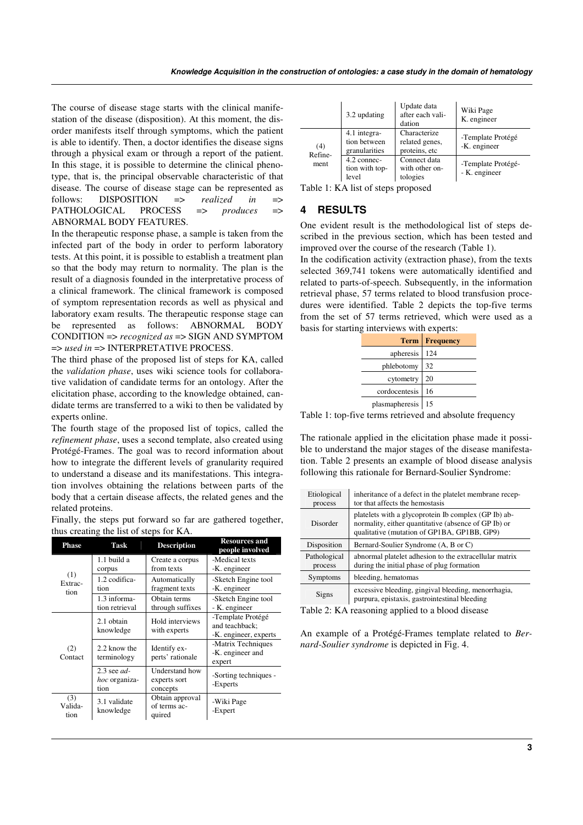The course of disease stage starts with the clinical manifestation of the disease (disposition). At this moment, the disorder manifests itself through symptoms, which the patient is able to identify. Then, a doctor identifies the disease signs through a physical exam or through a report of the patient. In this stage, it is possible to determine the clinical phenotype, that is, the principal observable characteristic of that disease. The course of disease stage can be represented as follows: DISPOSITION => *realized in* => PATHOLOGICAL PROCESS => *produces* => ABNORMAL BODY FEATURES.

In the therapeutic response phase, a sample is taken from the infected part of the body in order to perform laboratory tests. At this point, it is possible to establish a treatment plan so that the body may return to normality. The plan is the result of a diagnosis founded in the interpretative process of a clinical framework. The clinical framework is composed of symptom representation records as well as physical and laboratory exam results. The therapeutic response stage can be represented as follows: ABNORMAL BODY CONDITION => *recognized as* => SIGN AND SYMPTOM => *used in* => INTERPRETATIVE PROCESS.

The third phase of the proposed list of steps for KA, called the *validation phase*, uses wiki science tools for collaborative validation of candidate terms for an ontology. After the elicitation phase, according to the knowledge obtained, candidate terms are transferred to a wiki to then be validated by experts online.

The fourth stage of the proposed list of topics, called the *refinement phase*, uses a second template, also created using Protégé-Frames. The goal was to record information about how to integrate the different levels of granularity required to understand a disease and its manifestations. This integration involves obtaining the relations between parts of the body that a certain disease affects, the related genes and the related proteins.

|  |  |                                         |  |  | Finally, the steps put forward so far are gathered together, |
|--|--|-----------------------------------------|--|--|--------------------------------------------------------------|
|  |  | thus creating the list of steps for KA. |  |  |                                                              |

| Phase                  | Task                                          | <b>Description</b>                         | <b>Resources and</b><br>people involved                      |
|------------------------|-----------------------------------------------|--------------------------------------------|--------------------------------------------------------------|
| (1)<br>Extrac-<br>tion | 1.1 build a<br>corpus                         | Create a corpus<br>from texts              | -Medical texts<br>-K. engineer                               |
|                        | 1.2 codifica-<br>tion                         | Automatically<br>fragment texts            | -Sketch Engine tool<br>-K. engineer                          |
|                        | 1.3 informa-<br>tion retrieval                | Obtain terms<br>through suffixes           | -Sketch Engine tool<br>- K. engineer                         |
| (2)<br>Contact         | 2.1 obtain<br>knowledge                       | Hold interviews<br>with experts            | -Template Protégé<br>and teachback;<br>-K. engineer, experts |
|                        | 2.2 know the<br>terminology                   | Identify ex-<br>perts' rationale           | -Matrix Techniques<br>-K. engineer and<br>expert             |
|                        | $2.3$ see ad-<br><i>hoc</i> organiza-<br>tion | Understand how<br>experts sort<br>concepts | -Sorting techniques -<br>-Experts                            |
| (3)<br>Valida-<br>tion | 3.1 validate<br>knowledge                     | Obtain approval<br>of terms ac-<br>quired  | -Wiki Page<br>-Expert                                        |

|                        | 3.2 updating                                  | Update data<br>after each vali-<br>dation       | Wiki Page<br>K. engineer            |
|------------------------|-----------------------------------------------|-------------------------------------------------|-------------------------------------|
| (4)<br>Refine-<br>ment | 4.1 integra-<br>tion between<br>granularities | Characterize<br>related genes,<br>proteins, etc | -Template Protégé<br>-K. engineer   |
|                        | 4.2 connec-<br>tion with top-<br>level        | Connect data<br>with other on-<br>tologies      | -Template Protégé-<br>- K. engineer |

Table 1: KA list of steps proposed

 $\overline{a}$ 

## **4 RESULTS**

One evident result is the methodological list of steps described in the previous section, which has been tested and improved over the course of the research (Table 1).

In the codification activity (extraction phase), from the texts selected 369,741 tokens were automatically identified and related to parts-of-speech. Subsequently, in the information retrieval phase, 57 terms related to blood transfusion procedures were identified. Table 2 depicts the top-five terms from the set of 57 terms retrieved, which were used as a basis for starting interviews with experts:

|                | <b>Term   Frequency</b> |
|----------------|-------------------------|
| apheresis      | 124                     |
| phlebotomy     | 32                      |
| cytometry      | 20                      |
| cordocentesis  | 16                      |
| plasmapheresis | 15                      |

Table 1: top-five terms retrieved and absolute frequency

The rationale applied in the elicitation phase made it possible to understand the major stages of the disease manifestation. Table 2 presents an example of blood disease analysis following this rationale for Bernard-Soulier Syndrome:

| Etiological<br>process  | inheritance of a defect in the platelet membrane recep-<br>tor that affects the hemostasis                                                                  |
|-------------------------|-------------------------------------------------------------------------------------------------------------------------------------------------------------|
| Disorder                | platelets with a glycoprotein Ib complex (GP Ib) ab-<br>normality, either quantitative (absence of GP Ib) or<br>qualitative (mutation of GP1BA, GP1BB, GP9) |
| Disposition             | Bernard-Soulier Syndrome (A, B or C)                                                                                                                        |
| Pathological<br>process | abnormal platelet adhesion to the extracellular matrix<br>during the initial phase of plug formation                                                        |
| Symptoms                | bleeding, hematomas                                                                                                                                         |
| Signs                   | excessive bleeding, gingival bleeding, menorrhagia,<br>purpura, epistaxis, gastrointestinal bleeding                                                        |

Table 2: KA reasoning applied to a blood disease

An example of a Protégé-Frames template related to *Bernard-Soulier syndrome* is depicted in Fig. 4.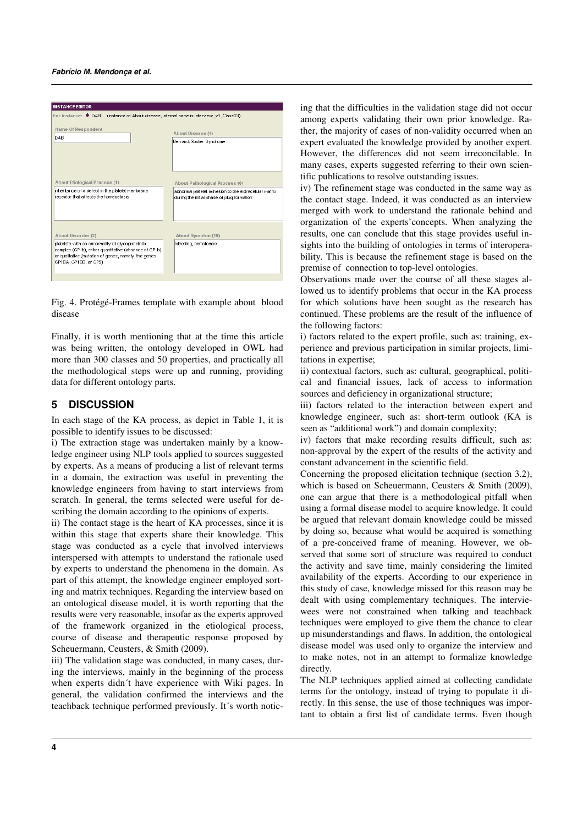

Fig. 4. Protégé-Frames template with example about blood disease

Finally, it is worth mentioning that at the time this article was being written, the ontology developed in OWL had more than 300 classes and 50 properties, and practically all the methodological steps were up and running, providing data for different ontology parts.

## **5 DISCUSSION**

In each stage of the KA process, as depict in Table 1, it is possible to identify issues to be discussed:

i) The extraction stage was undertaken mainly by a knowledge engineer using NLP tools applied to sources suggested by experts. As a means of producing a list of relevant terms in a domain, the extraction was useful in preventing the knowledge engineers from having to start interviews from scratch. In general, the terms selected were useful for describing the domain according to the opinions of experts.

ii) The contact stage is the heart of KA processes, since it is within this stage that experts share their knowledge. This stage was conducted as a cycle that involved interviews interspersed with attempts to understand the rationale used by experts to understand the phenomena in the domain. As part of this attempt, the knowledge engineer employed sorting and matrix techniques. Regarding the interview based on an ontological disease model, it is worth reporting that the results were very reasonable, insofar as the experts approved of the framework organized in the etiological process, course of disease and therapeutic response proposed by Scheuermann, Ceusters, & Smith (2009).

iii) The validation stage was conducted, in many cases, during the interviews, mainly in the beginning of the process when experts didn´t have experience with Wiki pages. In general, the validation confirmed the interviews and the teachback technique performed previously. It´s worth noticing that the difficulties in the validation stage did not occur among experts validating their own prior knowledge. Rather, the majority of cases of non-validity occurred when an expert evaluated the knowledge provided by another expert. However, the differences did not seem irreconcilable. In many cases, experts suggested referring to their own scientific publications to resolve outstanding issues.

iv) The refinement stage was conducted in the same way as the contact stage. Indeed, it was conducted as an interview merged with work to understand the rationale behind and organization of the experts'concepts. When analyzing the results, one can conclude that this stage provides useful insights into the building of ontologies in terms of interoperability. This is because the refinement stage is based on the premise of connection to top-level ontologies.

Observations made over the course of all these stages allowed us to identify problems that occur in the KA process for which solutions have been sought as the research has continued. These problems are the result of the influence of the following factors:

i) factors related to the expert profile, such as: training, experience and previous participation in similar projects, limitations in expertise;

ii) contextual factors, such as: cultural, geographical, political and financial issues, lack of access to information sources and deficiency in organizational structure;

iii) factors related to the interaction between expert and knowledge engineer, such as: short-term outlook (KA is seen as "additional work") and domain complexity;

iv) factors that make recording results difficult, such as: non-approval by the expert of the results of the activity and constant advancement in the scientific field.

Concerning the proposed elicitation technique (section 3.2), which is based on Scheuermann, Ceusters & Smith (2009), one can argue that there is a methodological pitfall when using a formal disease model to acquire knowledge. It could be argued that relevant domain knowledge could be missed by doing so, because what would be acquired is something of a pre-conceived frame of meaning. However, we observed that some sort of structure was required to conduct the activity and save time, mainly considering the limited availability of the experts. According to our experience in this study of case, knowledge missed for this reason may be dealt with using complementary techniques. The interviewees were not constrained when talking and teachback techniques were employed to give them the chance to clear up misunderstandings and flaws. In addition, the ontological disease model was used only to organize the interview and to make notes, not in an attempt to formalize knowledge directly.

The NLP techniques applied aimed at collecting candidate terms for the ontology, instead of trying to populate it directly. In this sense, the use of those techniques was important to obtain a first list of candidate terms. Even though